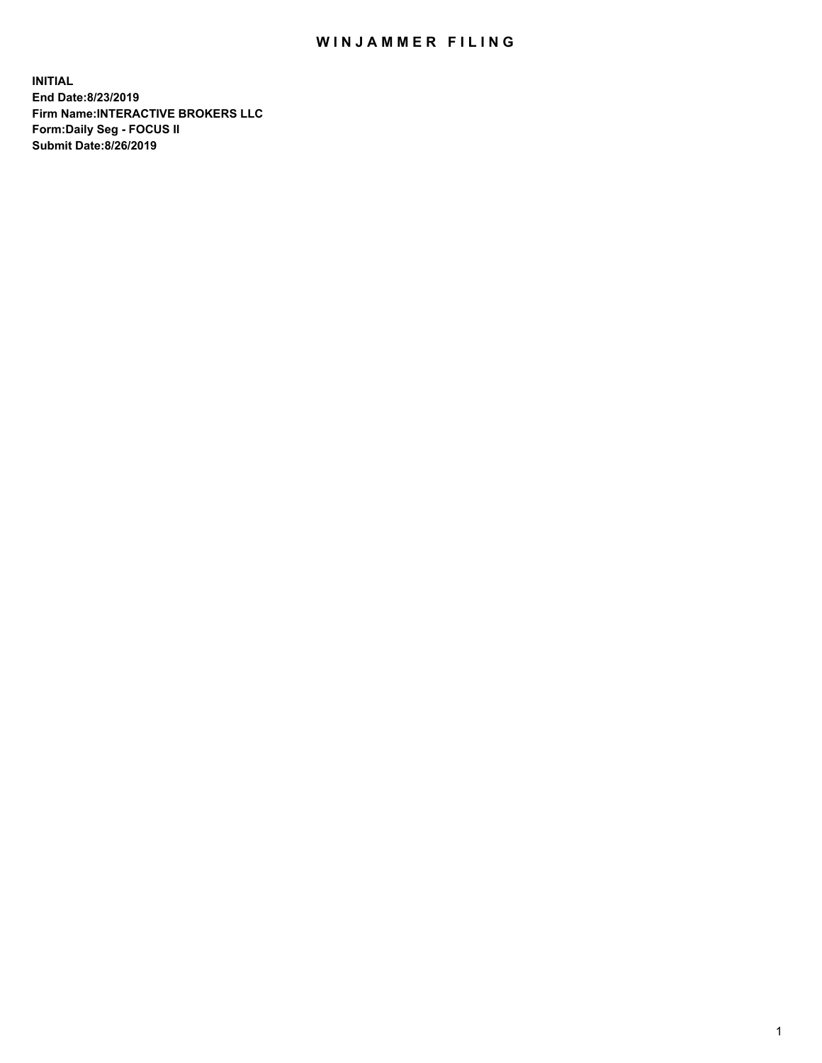## WIN JAMMER FILING

**INITIAL End Date:8/23/2019 Firm Name:INTERACTIVE BROKERS LLC Form:Daily Seg - FOCUS II Submit Date:8/26/2019**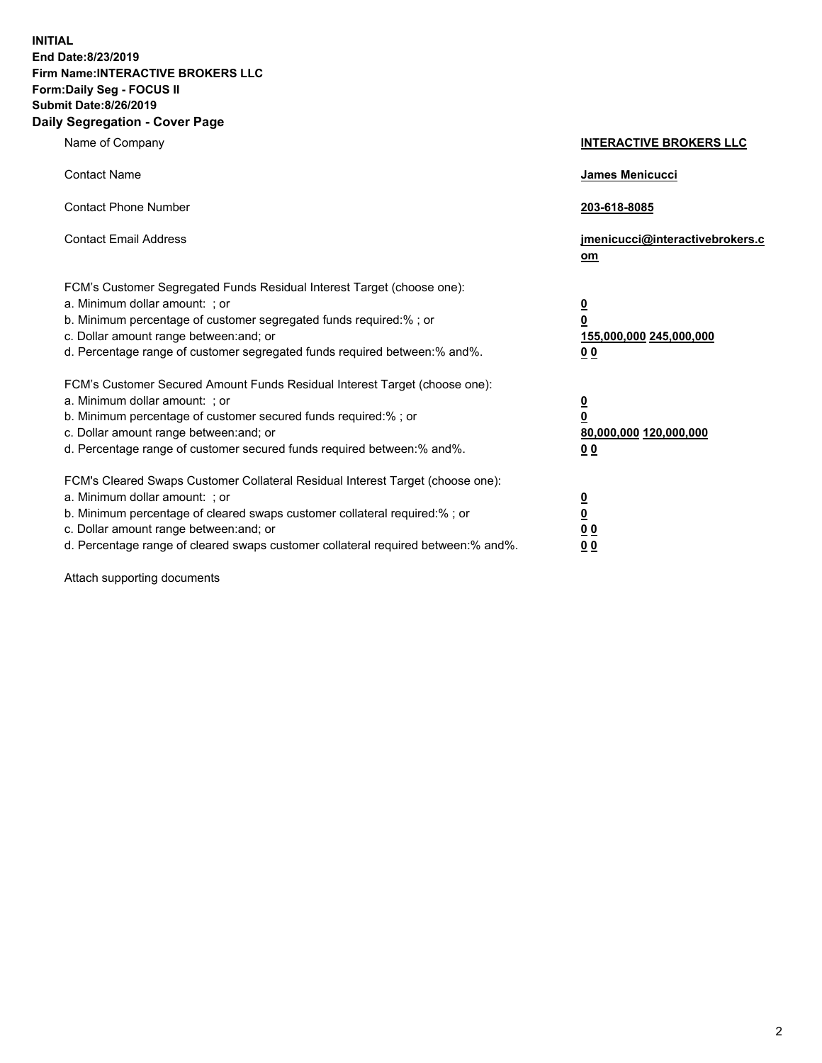**INITIAL End Date:8/23/2019 Firm Name:INTERACTIVE BROKERS LLC Form:Daily Seg - FOCUS II Submit Date:8/26/2019 Daily Segregation - Cover Page**

| Name of Company                                                                                                                                                                                                                                                                                                                | <b>INTERACTIVE BROKERS LLC</b>                                                                  |
|--------------------------------------------------------------------------------------------------------------------------------------------------------------------------------------------------------------------------------------------------------------------------------------------------------------------------------|-------------------------------------------------------------------------------------------------|
| <b>Contact Name</b>                                                                                                                                                                                                                                                                                                            | James Menicucci                                                                                 |
| <b>Contact Phone Number</b>                                                                                                                                                                                                                                                                                                    | 203-618-8085                                                                                    |
| <b>Contact Email Address</b>                                                                                                                                                                                                                                                                                                   | jmenicucci@interactivebrokers.c<br>om                                                           |
| FCM's Customer Segregated Funds Residual Interest Target (choose one):<br>a. Minimum dollar amount: ; or<br>b. Minimum percentage of customer segregated funds required:%; or<br>c. Dollar amount range between: and; or<br>d. Percentage range of customer segregated funds required between:% and%.                          | $\overline{\mathbf{0}}$<br>$\overline{\mathbf{0}}$<br>155,000,000 245,000,000<br>0 <sub>0</sub> |
| FCM's Customer Secured Amount Funds Residual Interest Target (choose one):<br>a. Minimum dollar amount: ; or<br>b. Minimum percentage of customer secured funds required:% ; or<br>c. Dollar amount range between: and; or<br>d. Percentage range of customer secured funds required between:% and%.                           | $\overline{\mathbf{0}}$<br>$\overline{\mathbf{0}}$<br>80,000,000 120,000,000<br>0 <sub>0</sub>  |
| FCM's Cleared Swaps Customer Collateral Residual Interest Target (choose one):<br>a. Minimum dollar amount: ; or<br>b. Minimum percentage of cleared swaps customer collateral required:% ; or<br>c. Dollar amount range between: and; or<br>d. Percentage range of cleared swaps customer collateral required between:% and%. | $\overline{\mathbf{0}}$<br>$\underline{\mathbf{0}}$<br>0 <sub>0</sub><br>0 <sub>0</sub>         |

Attach supporting documents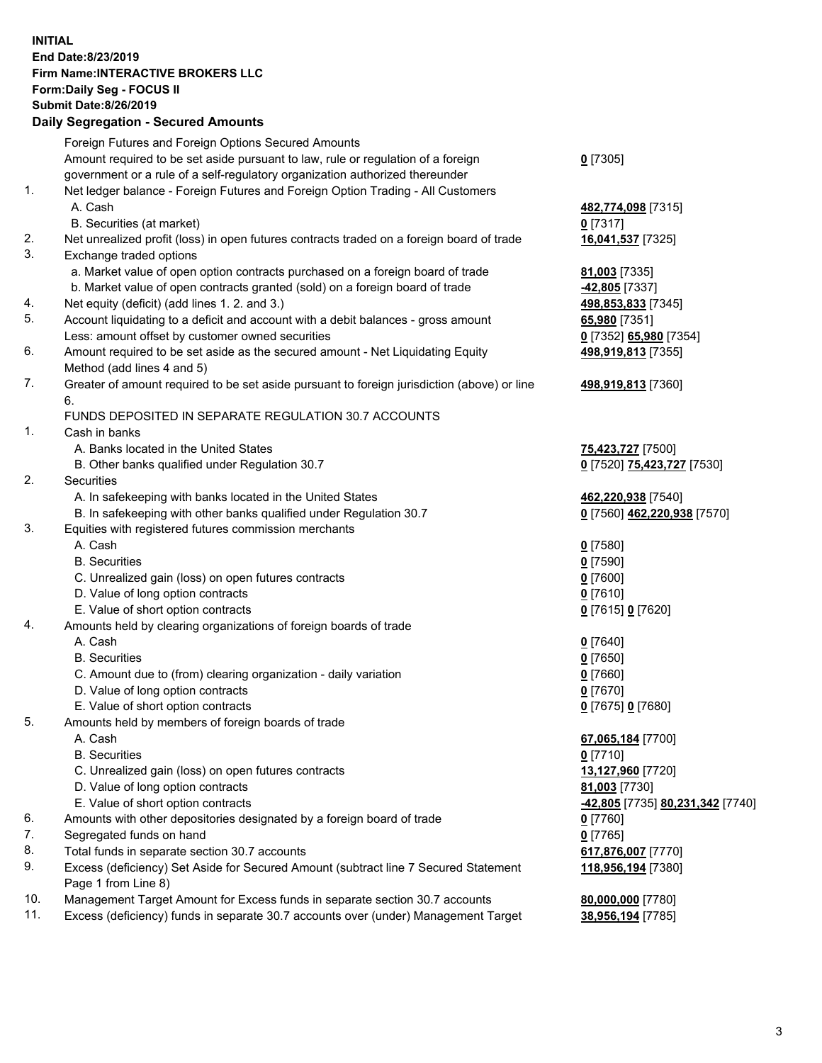## **INITIAL End Date:8/23/2019 Firm Name:INTERACTIVE BROKERS LLC Form:Daily Seg - FOCUS II Submit Date:8/26/2019 Daily Segregation - Secured Amounts**

|     | Dany Segregation - Secured Amounts                                                          |                                                      |
|-----|---------------------------------------------------------------------------------------------|------------------------------------------------------|
|     | Foreign Futures and Foreign Options Secured Amounts                                         |                                                      |
|     | Amount required to be set aside pursuant to law, rule or regulation of a foreign            | $0$ [7305]                                           |
|     | government or a rule of a self-regulatory organization authorized thereunder                |                                                      |
| 1.  | Net ledger balance - Foreign Futures and Foreign Option Trading - All Customers             |                                                      |
|     | A. Cash                                                                                     | 482,774,098 [7315]                                   |
|     | B. Securities (at market)                                                                   | $0$ [7317]                                           |
| 2.  | Net unrealized profit (loss) in open futures contracts traded on a foreign board of trade   | 16,041,537 [7325]                                    |
| 3.  | Exchange traded options                                                                     |                                                      |
|     | a. Market value of open option contracts purchased on a foreign board of trade              | 81,003 [7335]                                        |
|     | b. Market value of open contracts granted (sold) on a foreign board of trade                | -42,805 [7337]                                       |
| 4.  | Net equity (deficit) (add lines 1. 2. and 3.)                                               | 498,853,833 [7345]                                   |
| 5.  | Account liquidating to a deficit and account with a debit balances - gross amount           | 65,980 [7351]                                        |
|     | Less: amount offset by customer owned securities                                            | 0 [7352] 65,980 [7354]                               |
| 6.  | Amount required to be set aside as the secured amount - Net Liquidating Equity              | 498,919,813 [7355]                                   |
|     | Method (add lines 4 and 5)                                                                  |                                                      |
| 7.  | Greater of amount required to be set aside pursuant to foreign jurisdiction (above) or line | 498,919,813 [7360]                                   |
|     | 6.                                                                                          |                                                      |
|     | FUNDS DEPOSITED IN SEPARATE REGULATION 30.7 ACCOUNTS                                        |                                                      |
| 1.  | Cash in banks                                                                               |                                                      |
|     | A. Banks located in the United States                                                       | 75,423,727 [7500]                                    |
|     | B. Other banks qualified under Regulation 30.7                                              | 0 [7520] 75,423,727 [7530]                           |
| 2.  | <b>Securities</b>                                                                           |                                                      |
|     | A. In safekeeping with banks located in the United States                                   | 462,220,938 [7540]                                   |
|     | B. In safekeeping with other banks qualified under Regulation 30.7                          | 0 [7560] 462,220,938 [7570]                          |
| 3.  | Equities with registered futures commission merchants                                       |                                                      |
|     | A. Cash                                                                                     | $0$ [7580]                                           |
|     | <b>B.</b> Securities                                                                        | $0$ [7590]                                           |
|     | C. Unrealized gain (loss) on open futures contracts                                         | $0$ [7600]                                           |
|     | D. Value of long option contracts                                                           | $0$ [7610]                                           |
|     | E. Value of short option contracts                                                          | 0 [7615] 0 [7620]                                    |
| 4.  | Amounts held by clearing organizations of foreign boards of trade                           |                                                      |
|     | A. Cash                                                                                     | $0$ [7640]                                           |
|     | <b>B.</b> Securities                                                                        | $0$ [7650]                                           |
|     | C. Amount due to (from) clearing organization - daily variation                             | $0$ [7660]                                           |
|     | D. Value of long option contracts                                                           | $0$ [7670]                                           |
|     | E. Value of short option contracts                                                          | 0 [7675] 0 [7680]                                    |
| 5.  | Amounts held by members of foreign boards of trade                                          |                                                      |
|     | A. Cash                                                                                     | 67,065,184 [7700]                                    |
|     | <b>B.</b> Securities                                                                        | $0$ [7710]                                           |
|     | C. Unrealized gain (loss) on open futures contracts                                         | 13,127,960 [7720]                                    |
|     | D. Value of long option contracts<br>E. Value of short option contracts                     | 81,003 [7730]                                        |
| 6.  | Amounts with other depositories designated by a foreign board of trade                      | <mark>-42,805</mark> [7735] <b>80,231,342</b> [7740] |
| 7.  | Segregated funds on hand                                                                    | $0$ [7760]<br>$0$ [7765]                             |
| 8.  | Total funds in separate section 30.7 accounts                                               | 617,876,007 [7770]                                   |
| 9.  | Excess (deficiency) Set Aside for Secured Amount (subtract line 7 Secured Statement         | 118,956,194 [7380]                                   |
|     | Page 1 from Line 8)                                                                         |                                                      |
| 10. | Management Target Amount for Excess funds in separate section 30.7 accounts                 | 80,000,000 [7780]                                    |
| 11. | Excess (deficiency) funds in separate 30.7 accounts over (under) Management Target          | 38,956,194 [7785]                                    |
|     |                                                                                             |                                                      |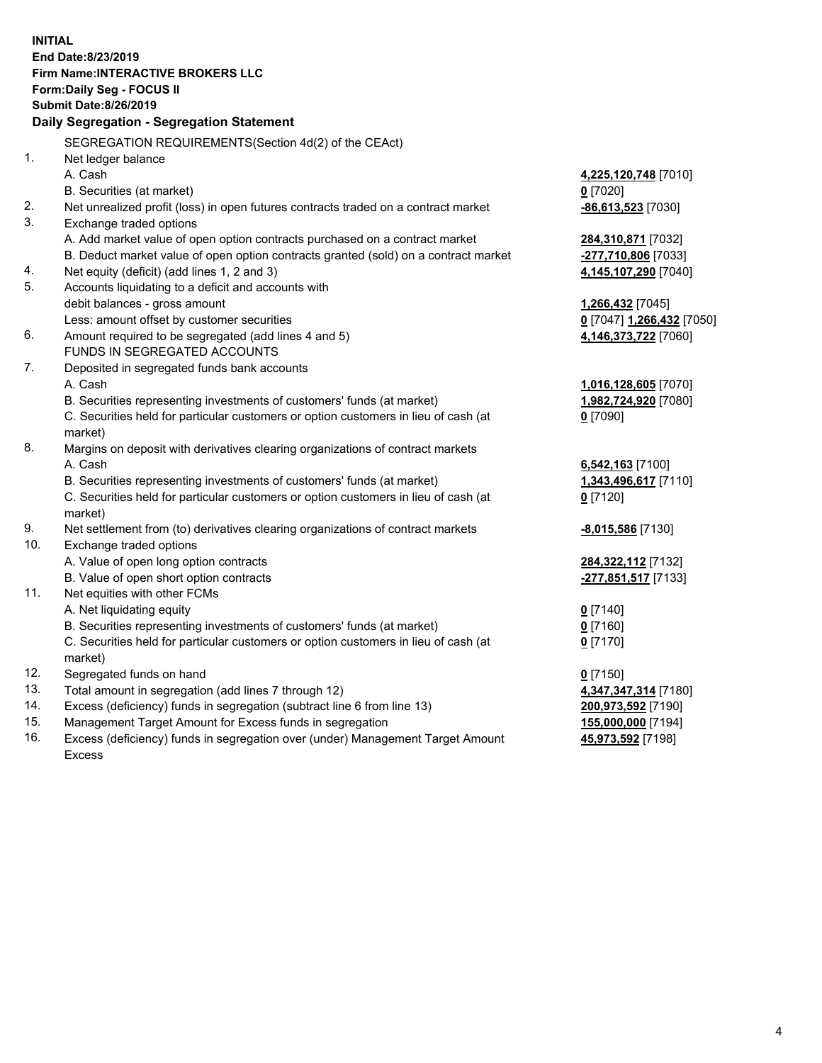**INITIAL End Date:8/23/2019 Firm Name:INTERACTIVE BROKERS LLC Form:Daily Seg - FOCUS II Submit Date:8/26/2019 Daily Segregation - Segregation Statement** SEGREGATION REQUIREMENTS(Section 4d(2) of the CEAct) 1. Net ledger balance A. Cash **4,225,120,748** [7010] B. Securities (at market) **0** [7020] 2. Net unrealized profit (loss) in open futures contracts traded on a contract market **-86,613,523** [7030] 3. Exchange traded options A. Add market value of open option contracts purchased on a contract market **284,310,871** [7032] B. Deduct market value of open option contracts granted (sold) on a contract market **-277,710,806** [7033] 4. Net equity (deficit) (add lines 1, 2 and 3) **4,145,107,290** [7040] 5. Accounts liquidating to a deficit and accounts with debit balances - gross amount **1,266,432** [7045] Less: amount offset by customer securities **0** [7047] **1,266,432** [7050] 6. Amount required to be segregated (add lines 4 and 5) **4,146,373,722** [7060] FUNDS IN SEGREGATED ACCOUNTS 7. Deposited in segregated funds bank accounts A. Cash **1,016,128,605** [7070] B. Securities representing investments of customers' funds (at market) **1,982,724,920** [7080] C. Securities held for particular customers or option customers in lieu of cash (at market) **0** [7090] 8. Margins on deposit with derivatives clearing organizations of contract markets A. Cash **6,542,163** [7100] B. Securities representing investments of customers' funds (at market) **1,343,496,617** [7110] C. Securities held for particular customers or option customers in lieu of cash (at market) **0** [7120] 9. Net settlement from (to) derivatives clearing organizations of contract markets **-8,015,586** [7130] 10. Exchange traded options A. Value of open long option contracts **284,322,112** [7132] B. Value of open short option contracts **-277,851,517** [7133] 11. Net equities with other FCMs A. Net liquidating equity **0** [7140] B. Securities representing investments of customers' funds (at market) **0** [7160] C. Securities held for particular customers or option customers in lieu of cash (at market) **0** [7170] 12. Segregated funds on hand **0** [7150] 13. Total amount in segregation (add lines 7 through 12) **4,347,347,314** [7180] 14. Excess (deficiency) funds in segregation (subtract line 6 from line 13) **200,973,592** [7190] 15. Management Target Amount for Excess funds in segregation **155,000,000** [7194] **45,973,592** [7198]

16. Excess (deficiency) funds in segregation over (under) Management Target Amount Excess